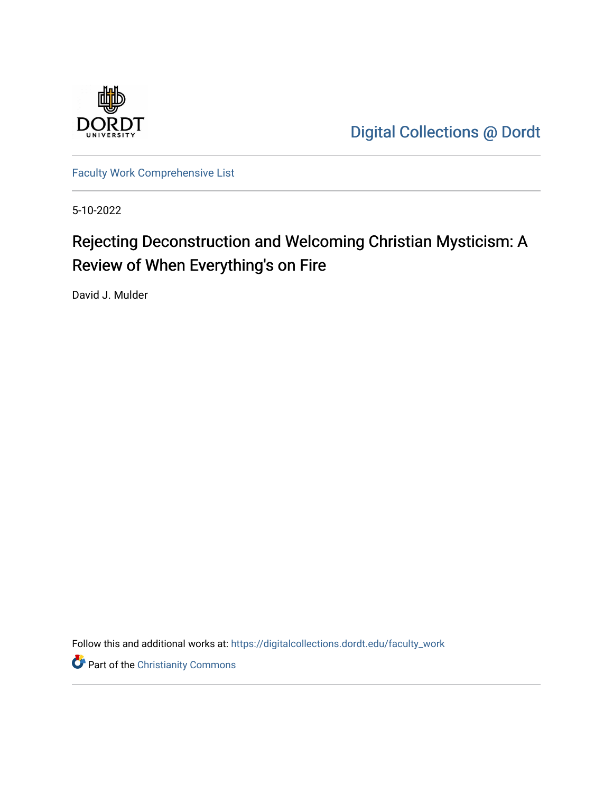

[Digital Collections @ Dordt](https://digitalcollections.dordt.edu/) 

[Faculty Work Comprehensive List](https://digitalcollections.dordt.edu/faculty_work)

5-10-2022

## Rejecting Deconstruction and Welcoming Christian Mysticism: A Review of When Everything's on Fire

David J. Mulder

Follow this and additional works at: [https://digitalcollections.dordt.edu/faculty\\_work](https://digitalcollections.dordt.edu/faculty_work?utm_source=digitalcollections.dordt.edu%2Ffaculty_work%2F1389&utm_medium=PDF&utm_campaign=PDFCoverPages) 

**Part of the Christianity Commons**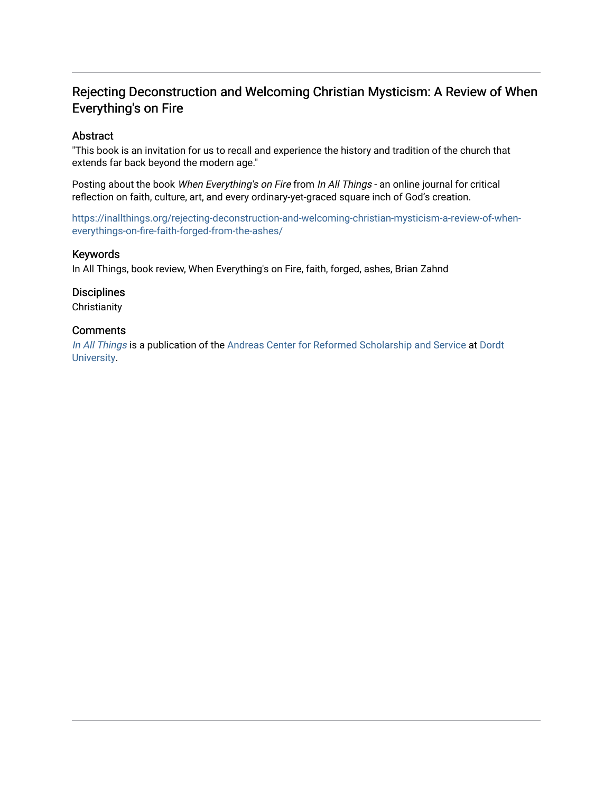## Rejecting Deconstruction and Welcoming Christian Mysticism: A Review of When Everything's on Fire

#### Abstract

"This book is an invitation for us to recall and experience the history and tradition of the church that extends far back beyond the modern age."

Posting about the book When Everything's on Fire from In All Things - an online journal for critical reflection on faith, culture, art, and every ordinary-yet-graced square inch of God's creation.

[https://inallthings.org/rejecting-deconstruction-and-welcoming-christian-mysticism-a-review-of-when](https://inallthings.org/rejecting-deconstruction-and-welcoming-christian-mysticism-a-review-of-when-everythings-on-fire-faith-forged-from-the-ashes/)[everythings-on-fire-faith-forged-from-the-ashes/](https://inallthings.org/rejecting-deconstruction-and-welcoming-christian-mysticism-a-review-of-when-everythings-on-fire-faith-forged-from-the-ashes/) 

#### Keywords

In All Things, book review, When Everything's on Fire, faith, forged, ashes, Brian Zahnd

#### **Disciplines**

**Christianity** 

#### **Comments**

[In All Things](http://inallthings.org/) is a publication of the [Andreas Center for Reformed Scholarship and Service](http://www.dordt.edu/services_support/andreas_center/) at Dordt [University](http://www.dordt.edu/).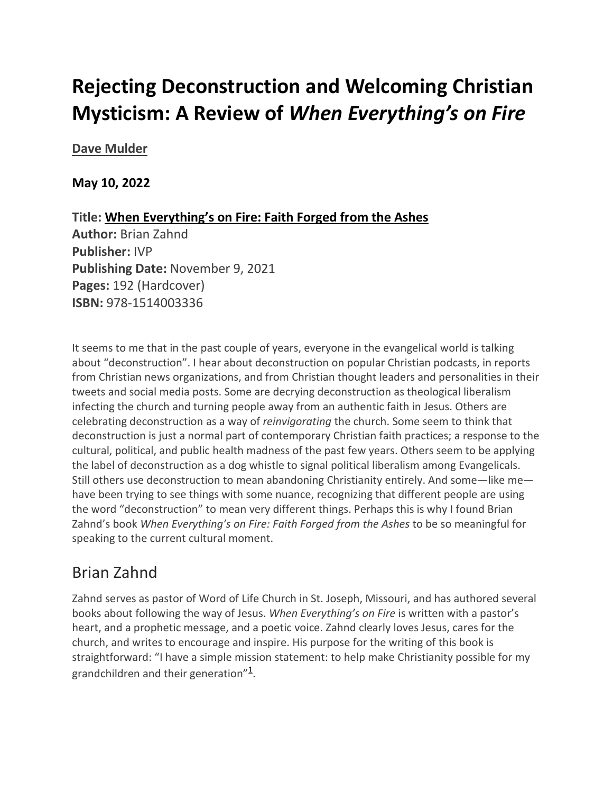# **Rejecting Deconstruction and Welcoming Christian Mysticism: A Review of** *When Everything's on Fire*

## **[Dave Mulder](https://inallthings.org/author/dave-mulder/)**

## **May 10, 2022**

**Title: When Everything's on Fire: Faith Forged from the Ashes Author:** Brian Zahnd **Publisher:** IVP **Publishing Date:** November 9, 2021 **Pages:** 192 (Hardcover) **ISBN:** 978-1514003336

It seems to me that in the past couple of years, everyone in the evangelical world is talking about "deconstruction". I hear about deconstruction on popular Christian podcasts, in reports from Christian news organizations, and from Christian thought leaders and personalities in their tweets and social media posts. Some are decrying deconstruction as theological liberalism infecting the church and turning people away from an authentic faith in Jesus. Others are celebrating deconstruction as a way of *reinvigorating* the church. Some seem to think that deconstruction is just a normal part of contemporary Christian faith practices; a response to the cultural, political, and public health madness of the past few years. Others seem to be applying the label of deconstruction as a dog whistle to signal political liberalism among Evangelicals. Still others use deconstruction to mean abandoning Christianity entirely. And some—like me have been trying to see things with some nuance, recognizing that different people are using the word "deconstruction" to mean very different things. Perhaps this is why I found Brian Zahnd's book *When Everything's on Fire: Faith Forged from the Ashes* to be so meaningful for speaking to the current cultural moment.

## Brian Zahnd

Zahnd serves as pastor of Word of Life Church in St. Joseph, Missouri, and has authored several books about following the way of Jesus. *When Everything's on Fire* is written with a pastor's heart, and a prophetic message, and a poetic voice. Zahnd clearly loves Jesus, cares for the church, and writes to encourage and inspire. His purpose for the writing of this book is straightforward: "I have a simple mission statement: to help make Christianity possible for my grandchildren and their generation" $\frac{1}{1}$ .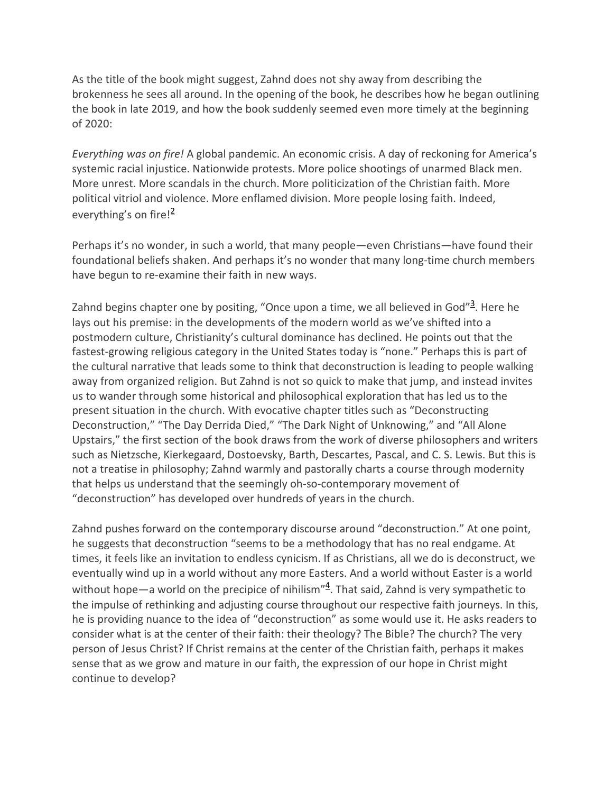As the title of the book might suggest, Zahnd does not shy away from describing the brokenness he sees all around. In the opening of the book, he describes how he began outlining the book in late 2019, and how the book suddenly seemed even more timely at the beginning of 2020:

*Everything was on fire!* A global pandemic. An economic crisis. A day of reckoning for America's systemic racial injustice. Nationwide protests. More police shootings of unarmed Black men. More unrest. More scandals in the church. More politicization of the Christian faith. More political vitriol and violence. More enflamed division. More people losing faith. Indeed, everything's on fire! $\frac{2}{3}$ 

Perhaps it's no wonder, in such a world, that many people—even Christians—have found their foundational beliefs shaken. And perhaps it's no wonder that many long-time church members have begun to re-examine their faith in new ways.

Zahnd begins chapter one by positing, "Once upon a time, we all believed in God"<sup>3</sup>. Here he lays out his premise: in the developments of the modern world as we've shifted into a postmodern culture, Christianity's cultural dominance has declined. He points out that the fastest-growing religious category in the United States today is "none." Perhaps this is part of the cultural narrative that leads some to think that deconstruction is leading to people walking away from organized religion. But Zahnd is not so quick to make that jump, and instead invites us to wander through some historical and philosophical exploration that has led us to the present situation in the church. With evocative chapter titles such as "Deconstructing Deconstruction," "The Day Derrida Died," "The Dark Night of Unknowing," and "All Alone Upstairs," the first section of the book draws from the work of diverse philosophers and writers such as Nietzsche, Kierkegaard, Dostoevsky, Barth, Descartes, Pascal, and C. S. Lewis. But this is not a treatise in philosophy; Zahnd warmly and pastorally charts a course through modernity that helps us understand that the seemingly oh-so-contemporary movement of "deconstruction" has developed over hundreds of years in the church.

Zahnd pushes forward on the contemporary discourse around "deconstruction." At one point, he suggests that deconstruction "seems to be a methodology that has no real endgame. At times, it feels like an invitation to endless cynicism. If as Christians, all we do is deconstruct, we eventually wind up in a world without any more Easters. And a world without Easter is a world without hope—a world on the precipice of nihilism"<sup>4</sup>. That said, Zahnd is very sympathetic to the impulse of rethinking and adjusting course throughout our respective faith journeys. In this, he is providing nuance to the idea of "deconstruction" as some would use it. He asks readers to consider what is at the center of their faith: their theology? The Bible? The church? The very person of Jesus Christ? If Christ remains at the center of the Christian faith, perhaps it makes sense that as we grow and mature in our faith, the expression of our hope in Christ might continue to develop?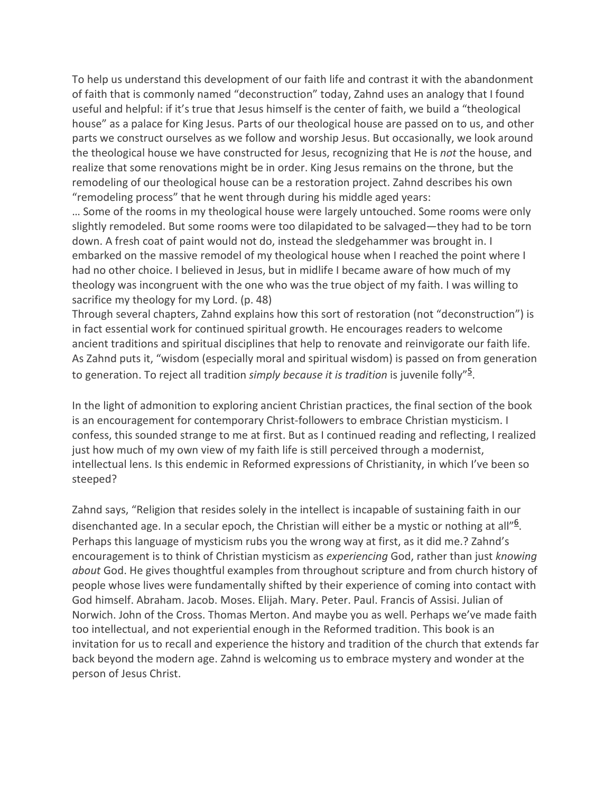To help us understand this development of our faith life and contrast it with the abandonment of faith that is commonly named "deconstruction" today, Zahnd uses an analogy that I found useful and helpful: if it's true that Jesus himself is the center of faith, we build a "theological house" as a palace for King Jesus. Parts of our theological house are passed on to us, and other parts we construct ourselves as we follow and worship Jesus. But occasionally, we look around the theological house we have constructed for Jesus, recognizing that He is *not* the house, and realize that some renovations might be in order. King Jesus remains on the throne, but the remodeling of our theological house can be a restoration project. Zahnd describes his own "remodeling process" that he went through during his middle aged years:

… Some of the rooms in my theological house were largely untouched. Some rooms were only slightly remodeled. But some rooms were too dilapidated to be salvaged—they had to be torn down. A fresh coat of paint would not do, instead the sledgehammer was brought in. I embarked on the massive remodel of my theological house when I reached the point where I had no other choice. I believed in Jesus, but in midlife I became aware of how much of my theology was incongruent with the one who was the true object of my faith. I was willing to sacrifice my theology for my Lord. (p. 48)

Through several chapters, Zahnd explains how this sort of restoration (not "deconstruction") is in fact essential work for continued spiritual growth. He encourages readers to welcome ancient traditions and spiritual disciplines that help to renovate and reinvigorate our faith life. As Zahnd puts it, "wisdom (especially moral and spiritual wisdom) is passed on from generation to generation. To reject all tradition *simply because it is tradition* is juvenile folly"<sup>5</sup> .

In the light of admonition to exploring ancient Christian practices, the final section of the book is an encouragement for contemporary Christ-followers to embrace Christian mysticism. I confess, this sounded strange to me at first. But as I continued reading and reflecting, I realized just how much of my own view of my faith life is still perceived through a modernist, intellectual lens. Is this endemic in Reformed expressions of Christianity, in which I've been so steeped?

Zahnd says, "Religion that resides solely in the intellect is incapable of sustaining faith in our disenchanted age. In a secular epoch, the Christian will either be a mystic or nothing at all"<sup>6</sup>. Perhaps this language of mysticism rubs you the wrong way at first, as it did me.? Zahnd's encouragement is to think of Christian mysticism as *experiencing* God, rather than just *knowing about* God. He gives thoughtful examples from throughout scripture and from church history of people whose lives were fundamentally shifted by their experience of coming into contact with God himself. Abraham. Jacob. Moses. Elijah. Mary. Peter. Paul. Francis of Assisi. Julian of Norwich. John of the Cross. Thomas Merton. And maybe you as well. Perhaps we've made faith too intellectual, and not experiential enough in the Reformed tradition. This book is an invitation for us to recall and experience the history and tradition of the church that extends far back beyond the modern age. Zahnd is welcoming us to embrace mystery and wonder at the person of Jesus Christ.